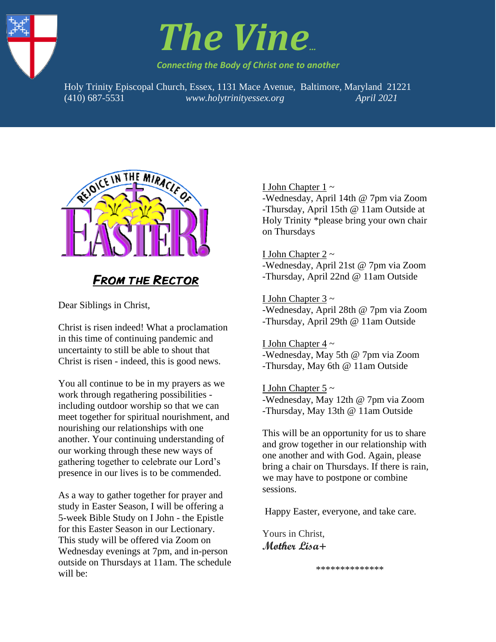



*Connecting the Body of Christ one to another*

Holy Trinity Episcopal Church, Essex, 1131 Mace Avenue, Baltimore, Maryland 21221 1. (410) 687-5531 *www.holytrinityessex.org April 2021*



## FROM THE RECTOR

Dear Siblings in Christ,

Christ is risen indeed! What a proclamation in this time of continuing pandemic and uncertainty to still be able to shout that Christ is risen - indeed, this is good news.

You all continue to be in my prayers as we work through regathering possibilities including outdoor worship so that we can meet together for spiritual nourishment, and nourishing our relationships with one another. Your continuing understanding of our working through these new ways of gathering together to celebrate our Lord's presence in our lives is to be commended.

As a way to gather together for prayer and study in Easter Season, I will be offering a 5-week Bible Study on I John - the Epistle for this Easter Season in our Lectionary. This study will be offered via Zoom on Wednesday evenings at 7pm, and in-person outside on Thursdays at 11am. The schedule will be:

#### I John Chapter 1 ~

-Wednesday, April 14th @ 7pm via Zoom -Thursday, April 15th @ 11am Outside at Holy Trinity \*please bring your own chair on Thursdays

#### I John Chapter  $2 \sim$

-Wednesday, April 21st @ 7pm via Zoom -Thursday, April 22nd @ 11am Outside

#### I John Chapter 3 ~

-Wednesday, April 28th @ 7pm via Zoom -Thursday, April 29th @ 11am Outside

#### I John Chapter 4 ~

-Wednesday, May 5th @ 7pm via Zoom -Thursday, May 6th @ 11am Outside

I John Chapter  $5 \sim$ 

-Wednesday, May 12th @ 7pm via Zoom -Thursday, May 13th @ 11am Outside

This will be an opportunity for us to share and grow together in our relationship with one another and with God. Again, please bring a chair on Thursdays. If there is rain, we may have to postpone or combine sessions.

Happy Easter, everyone, and take care.

Yours in Christ, **Mother Lisa+**

\*\*\*\*\*\*\*\*\*\*\*\*\*\*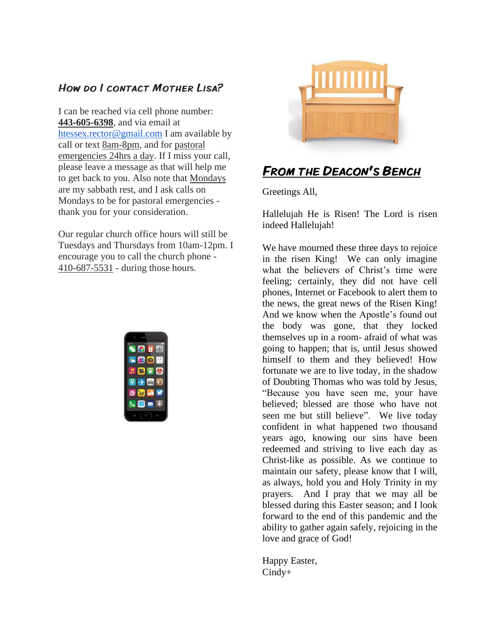## How do I contact Mother Lisa?

I can be reached via cell phone number: **443-605-6398**, and via email at [htessex.rector@gmail.com](mailto:htessex.rector@gmail.com) I am available by call or text 8am-8pm, and for pastoral emergencies 24hrs a day. If I miss your call, please leave a message as that will help me to get back to you. Also note that Mondays are my sabbath rest, and I ask calls on Mondays to be for pastoral emergencies thank you for your consideration.

Our regular church office hours will still be Tuesdays and Thursdays from 10am-12pm. I encourage you to call the church phone - 410-687-5531 - during those hours.





## FROM THE DEACON'S BENCH

Greetings All,

Hallelujah He is Risen! The Lord is risen indeed Hallelujah!

We have mourned these three days to rejoice in the risen King! We can only imagine what the believers of Christ's time were feeling; certainly, they did not have cell phones, Internet or Facebook to alert them to the news, the great news of the Risen King! And we know when the Apostle's found out the body was gone, that they locked themselves up in a room- afraid of what was going to happen; that is, until Jesus showed himself to them and they believed! How fortunate we are to live today, in the shadow of Doubting Thomas who was told by Jesus, "Because you have seen me, your have believed; blessed are those who have not seen me but still believe". We live today confident in what happened two thousand years ago, knowing our sins have been redeemed and striving to live each day as Christ-like as possible. As we continue to maintain our safety, please know that I will, as always, hold you and Holy Trinity in my prayers. And I pray that we may all be blessed during this Easter season; and I look forward to the end of this pandemic and the ability to gather again safely, rejoicing in the love and grace of God!

Happy Easter, Cindy+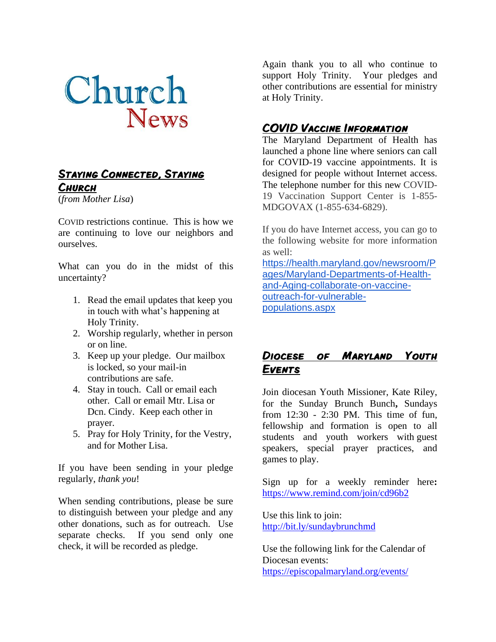

#### **STAYING CONNECTED, STAYING CHURCH**

(*from Mother Lisa*)

COVID restrictions continue. This is how we are continuing to love our neighbors and ourselves.

What can you do in the midst of this uncertainty?

- 1. Read the email updates that keep you in touch with what's happening at Holy Trinity.
- 2. Worship regularly, whether in person or on line.
- 3. Keep up your pledge. Our mailbox is locked, so your mail-in contributions are safe.
- 4. Stay in touch. Call or email each other. Call or email Mtr. Lisa or Dcn. Cindy. Keep each other in prayer.
- 5. Pray for Holy Trinity, for the Vestry, and for Mother Lisa.

If you have been sending in your pledge regularly, *thank you*!

When sending contributions, please be sure to distinguish between your pledge and any other donations, such as for outreach. Use separate checks. If you send only one check, it will be recorded as pledge.

Again thank you to all who continue to support Holy Trinity. Your pledges and other contributions are essential for ministry at Holy Trinity.

## **COVID VACCINE INFORMATION**

The Maryland Department of Health has launched a phone line where seniors can call for COVID-19 vaccine appointments. It is designed for people without Internet access. The telephone number for this new COVID-19 Vaccination Support Center is 1-855- MDGOVAX (1-855-634-6829).

If you do have Internet access, you can go to the following website for more information as well: [https://health.maryland.gov/newsroom/P](https://health.maryland.gov/newsroom/Pages/Maryland-Departments-of-Health-and-Aging-collaborate-on-vaccine-outreach-for-vulnerable-populations.aspx) [ages/Maryland-Departments-of-Health](https://health.maryland.gov/newsroom/Pages/Maryland-Departments-of-Health-and-Aging-collaborate-on-vaccine-outreach-for-vulnerable-populations.aspx)[and-Aging-collaborate-on-vaccine-](https://health.maryland.gov/newsroom/Pages/Maryland-Departments-of-Health-and-Aging-collaborate-on-vaccine-outreach-for-vulnerable-populations.aspx)

[outreach-for-vulnerable](https://health.maryland.gov/newsroom/Pages/Maryland-Departments-of-Health-and-Aging-collaborate-on-vaccine-outreach-for-vulnerable-populations.aspx)[populations.aspx](https://health.maryland.gov/newsroom/Pages/Maryland-Departments-of-Health-and-Aging-collaborate-on-vaccine-outreach-for-vulnerable-populations.aspx)

## Diocese of Maryland Youth Events

Join diocesan Youth Missioner, Kate Riley, for the Sunday Brunch Bunch**,** Sundays from 12:30 - 2:30 PM. This time of fun, fellowship and formation is open to all students and youth workers with guest speakers, special prayer practices, and games to play.

[Sign up for a weekly reminder here](https://episcopalmaryland.us11.list-manage.com/track/click?u=2f9dd94cde317640f66fe3a86&id=d759922ddc&e=6de4fcfe6d)**:**  <https://www.remind.com/join/cd96b2>

Use this link to join: <http://bit.ly/sundaybrunchmd>

Use the following link for the Calendar of Diocesan events: <https://episcopalmaryland.org/events/>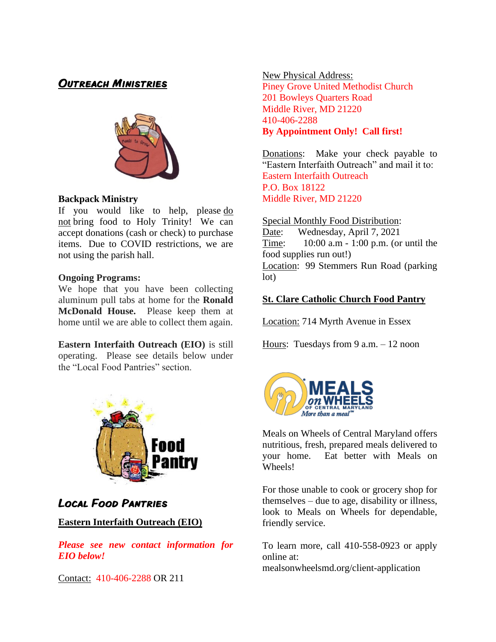### Outreach Ministries



#### **Backpack Ministry**

If you would like to help, please do not bring food to Holy Trinity! We can accept donations (cash or check) to purchase items. Due to COVID restrictions, we are not using the parish hall.

#### **Ongoing Programs:**

We hope that you have been collecting aluminum pull tabs at home for the **Ronald McDonald House.** Please keep them at home until we are able to collect them again.

**Eastern Interfaith Outreach (EIO)** is still operating. Please see details below under the "Local Food Pantries" section.



## Local Food Pantries

#### **Eastern Interfaith Outreach (EIO)**

*Please see new contact information for EIO below!*

Contact: 410-406-2288 OR 211

New Physical Address: Piney Grove United Methodist Church 201 Bowleys Quarters Road Middle River, MD 21220 410-406-2288 **By Appointment Only! Call first!**

Donations: Make your check payable to "Eastern Interfaith Outreach" and mail it to: Eastern Interfaith Outreach P.O. Box 18122 Middle River, MD 21220

#### Special Monthly Food Distribution:

Date: Wednesday, April 7, 2021 Time: 10:00 a.m - 1:00 p.m. (or until the food supplies run out!) Location: 99 Stemmers Run Road (parking lot)

#### **St. Clare Catholic Church Food Pantry**

Location: 714 Myrth Avenue in Essex

Hours: Tuesdays from 9 a.m. – 12 noon



Meals on Wheels of Central Maryland offers nutritious, fresh, prepared meals delivered to your home. Eat better with Meals on Wheels!

For those unable to cook or grocery shop for themselves – due to age, disability or illness, look to Meals on Wheels for dependable, friendly service.

To learn more, call 410-558-0923 or apply online at: mealsonwheelsmd.org/client-application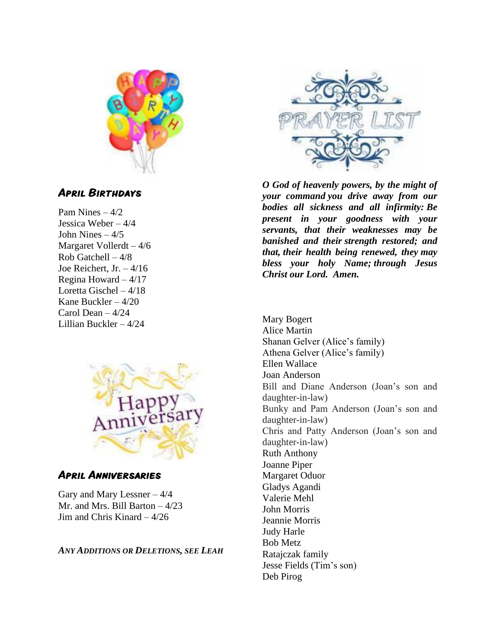

## April Birthdays

Pam Nines  $-4/2$ Jessica Weber – 4/4 John Nines  $-4/5$ Margaret Vollerdt – 4/6 Rob Gatchell – 4/8 Joe Reichert, Jr. – 4/16 Regina Howard – 4/17 Loretta Gischel – 4/18 Kane Buckler – 4/20 Carol Dean – 4/24 Lillian Buckler – 4/24



#### April Anniversaries

Gary and Mary Lessner – 4/4 Mr. and Mrs. Bill Barton – 4/23 Jim and Chris Kinard – 4/26

*ANY ADDITIONS OR DELETIONS, SEE LEAH*



*O God of heavenly powers, by the might of your command you drive away from our bodies all sickness and all infirmity: Be present in your goodness with your servants, that their weaknesses may be banished and their strength restored; and that, their health being renewed, they may bless your holy Name; through Jesus Christ our Lord. Amen.*

Mary Bogert Alice Martin Shanan Gelver (Alice's family) Athena Gelver (Alice's family) Ellen Wallace Joan Anderson Bill and Diane Anderson (Joan's son and daughter-in-law) Bunky and Pam Anderson (Joan's son and daughter-in-law) Chris and Patty Anderson (Joan's son and daughter-in-law) Ruth Anthony Joanne Piper Margaret Oduor Gladys Agandi Valerie Mehl John Morris Jeannie Morris Judy Harle Bob Metz Ratajczak family Jesse Fields (Tim's son) Deb Pirog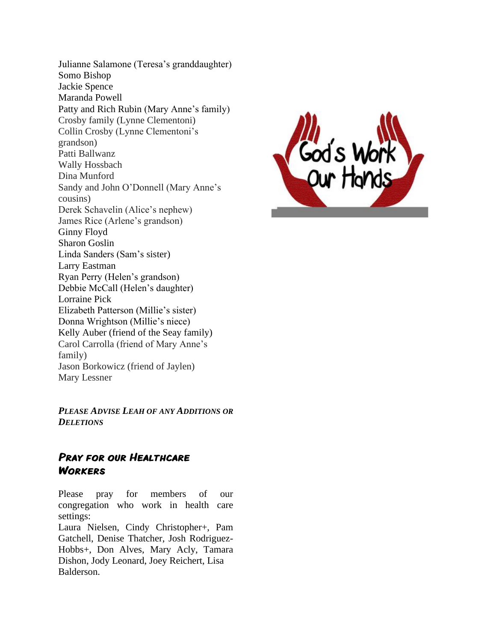Julianne Salamone (Teresa's granddaughter) Somo Bishop Jackie Spence Maranda Powell Patty and Rich Rubin (Mary Anne's family) Crosby family (Lynne Clementoni) Collin Crosby (Lynne Clementoni's grandson) Patti Ballwanz Wally Hossbach Dina Munford Sandy and John O'Donnell (Mary Anne's cousins) Derek Schavelin (Alice's nephew) James Rice (Arlene's grandson) Ginny Floyd Sharon Goslin Linda Sanders (Sam's sister) Larry Eastman Ryan Perry (Helen's grandson) Debbie McCall (Helen's daughter) Lorraine Pick Elizabeth Patterson (Millie's sister) Donna Wrightson (Millie's niece) Kelly Auber (friend of the Seay family) Carol Carrolla (friend of Mary Anne's family) Jason Borkowicz (friend of Jaylen) Mary Lessner

*PLEASE ADVISE LEAH OF ANY ADDITIONS OR DELETIONS*

#### PRAY FOR OUR HEALTHCARE **WORKERS**

Please pray for members of our congregation who work in health care settings:

Laura Nielsen, Cindy Christopher+, Pam Gatchell, Denise Thatcher, Josh Rodriguez-Hobbs+, Don Alves, Mary Acly, Tamara Dishon, Jody Leonard, Joey Reichert, Lisa Balderson.

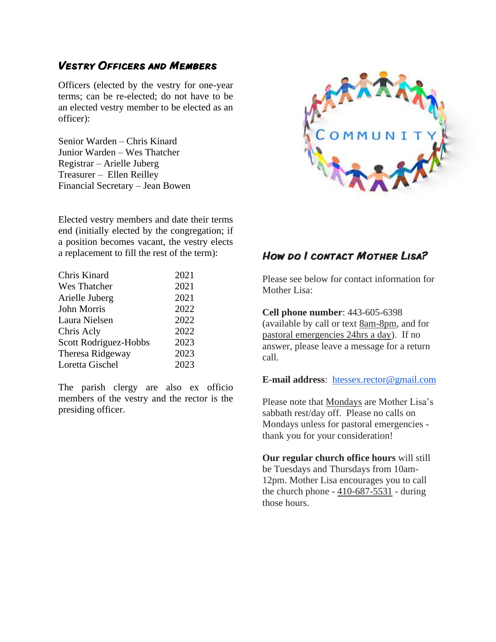#### Vestry Officers and Members

Officers (elected by the vestry for one-year terms; can be re-elected; do not have to be an elected vestry member to be elected as an officer):

Senior Warden – Chris Kinard Junior Warden – Wes Thatcher Registrar – Arielle Juberg Treasurer – Ellen Reilley Financial Secretary – Jean Bowen

Elected vestry members and date their terms end (initially elected by the congregation; if a position becomes vacant, the vestry elects a replacement to fill the rest of the term):

| Chris Kinard          | 2021 |
|-----------------------|------|
| Wes Thatcher          | 2021 |
| Arielle Juberg        | 2021 |
| John Morris           | 2022 |
| Laura Nielsen         | 2022 |
| Chris Acly            | 2022 |
| Scott Rodriguez-Hobbs | 2023 |
| Theresa Ridgeway      | 2023 |
| Loretta Gischel       | 2023 |

The parish clergy are also ex officio members of the vestry and the rector is the presiding officer.



## How do I contact Mother Lisa?

Please see below for contact information for Mother Lisa:

**Cell phone number**: 443-605-6398 (available by call or text 8am-8pm, and for pastoral emergencies 24hrs a day). If no answer, please leave a message for a return call.

#### **E-mail address**: [htessex.rector@gmail.com](mailto:htessex.rector@gmail.com)

Please note that Mondays are Mother Lisa's sabbath rest/day off. Please no calls on Mondays unless for pastoral emergencies thank you for your consideration!

**Our regular church office hours** will still be Tuesdays and Thursdays from 10am-12pm. Mother Lisa encourages you to call the church phone - 410-687-5531 - during those hours.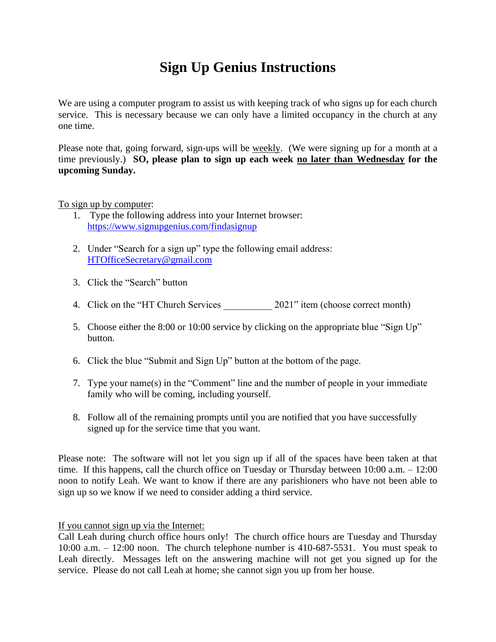## **Sign Up Genius Instructions**

We are using a computer program to assist us with keeping track of who signs up for each church service. This is necessary because we can only have a limited occupancy in the church at any one time.

Please note that, going forward, sign-ups will be weekly. (We were signing up for a month at a time previously.) **SO, please plan to sign up each week no later than Wednesday for the upcoming Sunday.**

#### To sign up by computer:

- 1. Type the following address into your Internet browser: <https://www.signupgenius.com/findasignup>
- 2. Under "Search for a sign up" type the following email address: [HTOfficeSecretary@gmail.com](mailto:HTOfficeSecretary@gmail.com)
- 3. Click the "Search" button
- 4. Click on the "HT Church Services 2021" item (choose correct month)
- 5. Choose either the 8:00 or 10:00 service by clicking on the appropriate blue "Sign Up" button.
- 6. Click the blue "Submit and Sign Up" button at the bottom of the page.
- 7. Type your name(s) in the "Comment" line and the number of people in your immediate family who will be coming, including yourself.
- 8. Follow all of the remaining prompts until you are notified that you have successfully signed up for the service time that you want.

Please note: The software will not let you sign up if all of the spaces have been taken at that time. If this happens, call the church office on Tuesday or Thursday between 10:00 a.m. – 12:00 noon to notify Leah. We want to know if there are any parishioners who have not been able to sign up so we know if we need to consider adding a third service.

If you cannot sign up via the Internet:

Call Leah during church office hours only! The church office hours are Tuesday and Thursday 10:00 a.m. – 12:00 noon. The church telephone number is 410-687-5531. You must speak to Leah directly. Messages left on the answering machine will not get you signed up for the service. Please do not call Leah at home; she cannot sign you up from her house.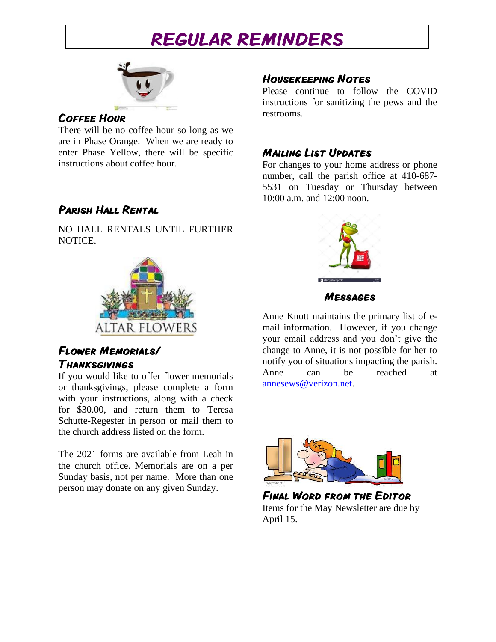## REGULAR REMINDERS



#### Coffee Hour

There will be no coffee hour so long as we are in Phase Orange. When we are ready to enter Phase Yellow, there will be specific instructions about coffee hour.

## Parish Hall Rental

NO HALL RENTALS UNTIL FURTHER NOTICE.



## Flower Memorials/ Thanksgivings

If you would like to offer flower memorials or thanksgivings, please complete a form with your instructions, along with a check for \$30.00, and return them to Teresa Schutte-Regester in person or mail them to the church address listed on the form.

The 2021 forms are available from Leah in the church office. Memorials are on a per Sunday basis, not per name. More than one person may donate on any given Sunday.

### Housekeeping Notes

Please continue to follow the COVID instructions for sanitizing the pews and the restrooms.

## Mailing List Updates

For changes to your home address or phone number, call the parish office at 410-687- 5531 on Tuesday or Thursday between 10:00 a.m. and 12:00 noon.



Messages

Anne Knott maintains the primary list of email information. However, if you change your email address and you don't give the change to Anne, it is not possible for her to notify you of situations impacting the parish. Anne can be reached at [annesews@verizon.net.](mailto:annesews@verizon.net)



Final Word from the Editor Items for the May Newsletter are due by April 15.